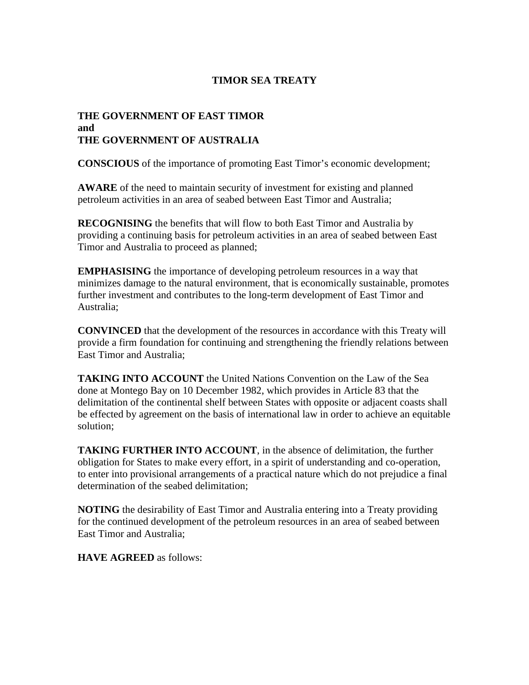## **TIMOR SEA TREATY**

#### **THE GOVERNMENT OF EAST TIMOR and THE GOVERNMENT OF AUSTRALIA**

**CONSCIOUS** of the importance of promoting East Timor's economic development;

**AWARE** of the need to maintain security of investment for existing and planned petroleum activities in an area of seabed between East Timor and Australia;

**RECOGNISING** the benefits that will flow to both East Timor and Australia by providing a continuing basis for petroleum activities in an area of seabed between East Timor and Australia to proceed as planned;

**EMPHASISING** the importance of developing petroleum resources in a way that minimizes damage to the natural environment, that is economically sustainable, promotes further investment and contributes to the long-term development of East Timor and Australia;

**CONVINCED** that the development of the resources in accordance with this Treaty will provide a firm foundation for continuing and strengthening the friendly relations between East Timor and Australia;

**TAKING INTO ACCOUNT** the United Nations Convention on the Law of the Sea done at Montego Bay on 10 December 1982, which provides in Article 83 that the delimitation of the continental shelf between States with opposite or adjacent coasts shall be effected by agreement on the basis of international law in order to achieve an equitable solution;

**TAKING FURTHER INTO ACCOUNT**, in the absence of delimitation, the further obligation for States to make every effort, in a spirit of understanding and co-operation, to enter into provisional arrangements of a practical nature which do not prejudice a final determination of the seabed delimitation;

**NOTING** the desirability of East Timor and Australia entering into a Treaty providing for the continued development of the petroleum resources in an area of seabed between East Timor and Australia;

**HAVE AGREED** as follows: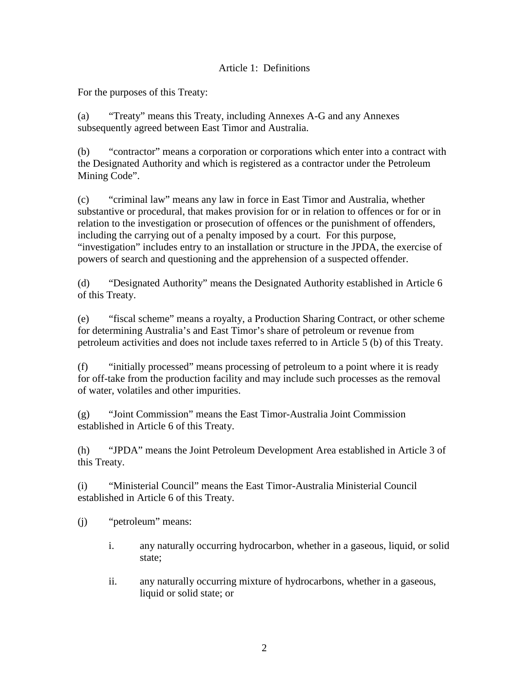### Article 1: Definitions

For the purposes of this Treaty:

(a) "Treaty" means this Treaty, including Annexes A-G and any Annexes subsequently agreed between East Timor and Australia.

(b) "contractor" means a corporation or corporations which enter into a contract with the Designated Authority and which is registered as a contractor under the Petroleum Mining Code".

(c) "criminal law" means any law in force in East Timor and Australia, whether substantive or procedural, that makes provision for or in relation to offences or for or in relation to the investigation or prosecution of offences or the punishment of offenders, including the carrying out of a penalty imposed by a court. For this purpose, "investigation" includes entry to an installation or structure in the JPDA, the exercise of powers of search and questioning and the apprehension of a suspected offender.

(d) "Designated Authority" means the Designated Authority established in Article 6 of this Treaty.

(e) "fiscal scheme" means a royalty, a Production Sharing Contract, or other scheme for determining Australia's and East Timor's share of petroleum or revenue from petroleum activities and does not include taxes referred to in Article 5 (b) of this Treaty.

(f) "initially processed" means processing of petroleum to a point where it is ready for off-take from the production facility and may include such processes as the removal of water, volatiles and other impurities.

(g) "Joint Commission" means the East Timor-Australia Joint Commission established in Article 6 of this Treaty.

(h) "JPDA" means the Joint Petroleum Development Area established in Article 3 of this Treaty.

(i) "Ministerial Council" means the East Timor-Australia Ministerial Council established in Article 6 of this Treaty.

(j) "petroleum" means:

- i. any naturally occurring hydrocarbon, whether in a gaseous, liquid, or solid state;
- ii. any naturally occurring mixture of hydrocarbons, whether in a gaseous, liquid or solid state; or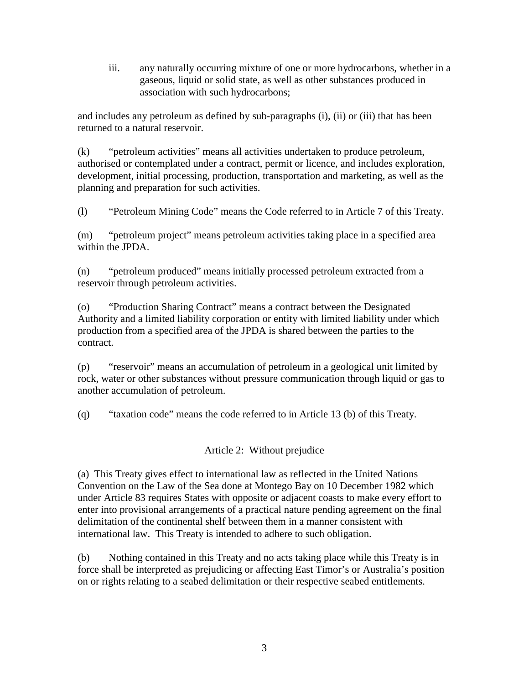iii. any naturally occurring mixture of one or more hydrocarbons, whether in a gaseous, liquid or solid state, as well as other substances produced in association with such hydrocarbons;

and includes any petroleum as defined by sub-paragraphs (i), (ii) or (iii) that has been returned to a natural reservoir.

(k) "petroleum activities" means all activities undertaken to produce petroleum, authorised or contemplated under a contract, permit or licence, and includes exploration, development, initial processing, production, transportation and marketing, as well as the planning and preparation for such activities.

(l) "Petroleum Mining Code" means the Code referred to in Article 7 of this Treaty.

(m) "petroleum project" means petroleum activities taking place in a specified area within the JPDA.

(n) "petroleum produced" means initially processed petroleum extracted from a reservoir through petroleum activities.

(o) "Production Sharing Contract" means a contract between the Designated Authority and a limited liability corporation or entity with limited liability under which production from a specified area of the JPDA is shared between the parties to the contract.

(p) "reservoir" means an accumulation of petroleum in a geological unit limited by rock, water or other substances without pressure communication through liquid or gas to another accumulation of petroleum.

(q) "taxation code" means the code referred to in Article 13 (b) of this Treaty.

### Article 2: Without prejudice

(a) This Treaty gives effect to international law as reflected in the United Nations Convention on the Law of the Sea done at Montego Bay on 10 December 1982 which under Article 83 requires States with opposite or adjacent coasts to make every effort to enter into provisional arrangements of a practical nature pending agreement on the final delimitation of the continental shelf between them in a manner consistent with international law. This Treaty is intended to adhere to such obligation.

(b) Nothing contained in this Treaty and no acts taking place while this Treaty is in force shall be interpreted as prejudicing or affecting East Timor's or Australia's position on or rights relating to a seabed delimitation or their respective seabed entitlements.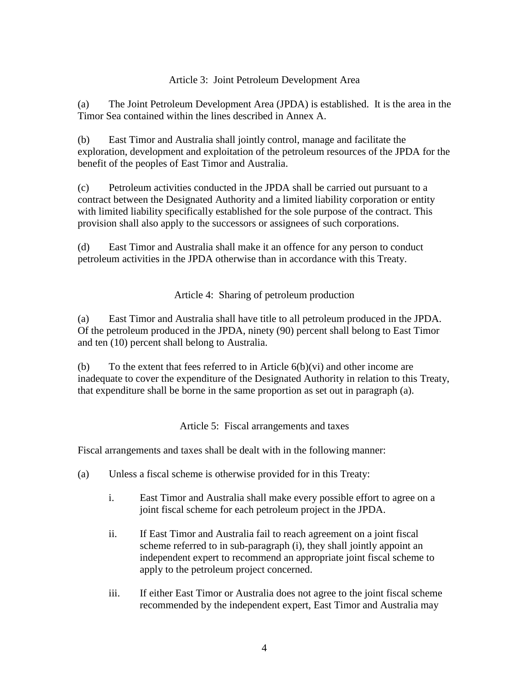### Article 3: Joint Petroleum Development Area

(a) The Joint Petroleum Development Area (JPDA) is established. It is the area in the Timor Sea contained within the lines described in Annex A.

(b) East Timor and Australia shall jointly control, manage and facilitate the exploration, development and exploitation of the petroleum resources of the JPDA for the benefit of the peoples of East Timor and Australia.

(c) Petroleum activities conducted in the JPDA shall be carried out pursuant to a contract between the Designated Authority and a limited liability corporation or entity with limited liability specifically established for the sole purpose of the contract. This provision shall also apply to the successors or assignees of such corporations.

(d) East Timor and Australia shall make it an offence for any person to conduct petroleum activities in the JPDA otherwise than in accordance with this Treaty.

## Article 4: Sharing of petroleum production

(a) East Timor and Australia shall have title to all petroleum produced in the JPDA. Of the petroleum produced in the JPDA, ninety (90) percent shall belong to East Timor and ten (10) percent shall belong to Australia.

(b) To the extent that fees referred to in Article 6(b)(vi) and other income are inadequate to cover the expenditure of the Designated Authority in relation to this Treaty, that expenditure shall be borne in the same proportion as set out in paragraph (a).

### Article 5: Fiscal arrangements and taxes

Fiscal arrangements and taxes shall be dealt with in the following manner:

- (a) Unless a fiscal scheme is otherwise provided for in this Treaty:
	- i. East Timor and Australia shall make every possible effort to agree on a joint fiscal scheme for each petroleum project in the JPDA.
	- ii. If East Timor and Australia fail to reach agreement on a joint fiscal scheme referred to in sub-paragraph (i), they shall jointly appoint an independent expert to recommend an appropriate joint fiscal scheme to apply to the petroleum project concerned.
	- iii. If either East Timor or Australia does not agree to the joint fiscal scheme recommended by the independent expert, East Timor and Australia may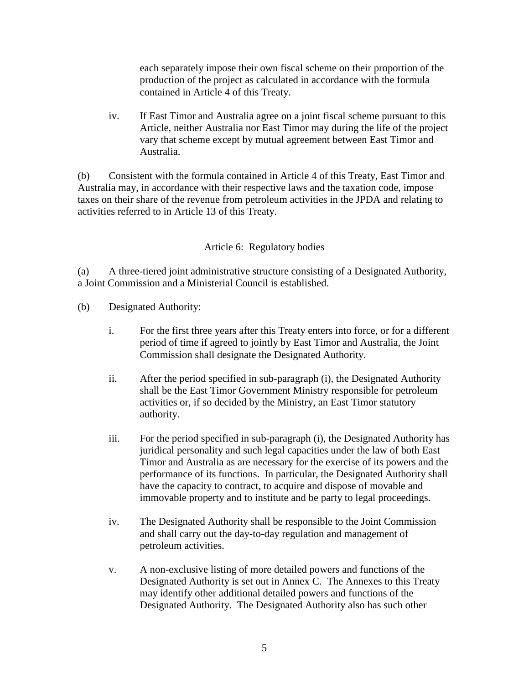each separately impose their own fiscal scheme on their proportion of the production of the project as calculated in accordance with the formula contained in Article 4 of this Treaty.

iv. If East Timor and Australia agree on a joint fiscal scheme pursuant to this Article, neither Australia nor East Timor may during the life of the project vary that scheme except by mutual agreement between East Timor and Australia.

(b) Consistent with the formula contained in Article 4 of this Treaty, East Timor and Australia may, in accordance with their respective laws and the taxation code, impose taxes on their share of the revenue from petroleum activities in the JPDA and relating to activities referred to in Article 13 of this Treaty.

### Article 6: Regulatory bodies

(a) A three-tiered joint administrative structure consisting of a Designated Authority, a Joint Commission and a Ministerial Council is established.

(b) Designated Authority:

- i. For the first three years after this Treaty enters into force, or for a different period of time if agreed to jointly by East Timor and Australia, the Joint Commission shall designate the Designated Authority.
- ii. After the period specified in sub-paragraph (i), the Designated Authority shall be the East Timor Government Ministry responsible for petroleum activities or, if so decided by the Ministry, an East Timor statutory authority.
- iii. For the period specified in sub-paragraph (i), the Designated Authority has juridical personality and such legal capacities under the law of both East Timor and Australia as are necessary for the exercise of its powers and the performance of its functions. In particular, the Designated Authority shall have the capacity to contract, to acquire and dispose of movable and immovable property and to institute and be party to legal proceedings.
- iv. The Designated Authority shall be responsible to the Joint Commission and shall carry out the day-to-day regulation and management of petroleum activities.
- v. A non-exclusive listing of more detailed powers and functions of the Designated Authority is set out in Annex C. The Annexes to this Treaty may identify other additional detailed powers and functions of the Designated Authority. The Designated Authority also has such other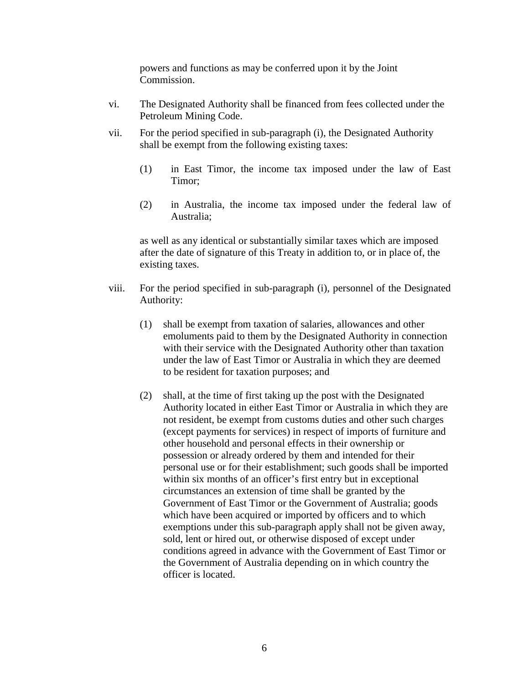powers and functions as may be conferred upon it by the Joint Commission.

- vi. The Designated Authority shall be financed from fees collected under the Petroleum Mining Code.
- vii. For the period specified in sub-paragraph (i), the Designated Authority shall be exempt from the following existing taxes:
	- (1) in East Timor, the income tax imposed under the law of East Timor;
	- (2) in Australia, the income tax imposed under the federal law of Australia;

as well as any identical or substantially similar taxes which are imposed after the date of signature of this Treaty in addition to, or in place of, the existing taxes.

- viii. For the period specified in sub-paragraph (i), personnel of the Designated Authority:
	- (1) shall be exempt from taxation of salaries, allowances and other emoluments paid to them by the Designated Authority in connection with their service with the Designated Authority other than taxation under the law of East Timor or Australia in which they are deemed to be resident for taxation purposes; and
	- (2) shall, at the time of first taking up the post with the Designated Authority located in either East Timor or Australia in which they are not resident, be exempt from customs duties and other such charges (except payments for services) in respect of imports of furniture and other household and personal effects in their ownership or possession or already ordered by them and intended for their personal use or for their establishment; such goods shall be imported within six months of an officer's first entry but in exceptional circumstances an extension of time shall be granted by the Government of East Timor or the Government of Australia; goods which have been acquired or imported by officers and to which exemptions under this sub-paragraph apply shall not be given away, sold, lent or hired out, or otherwise disposed of except under conditions agreed in advance with the Government of East Timor or the Government of Australia depending on in which country the officer is located.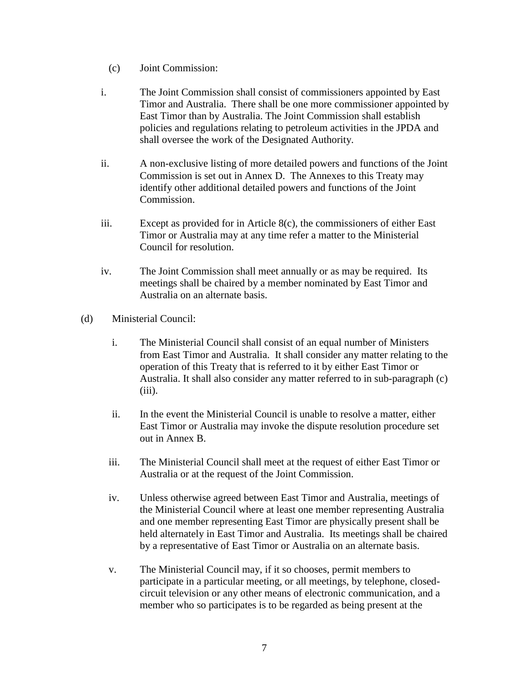- (c) Joint Commission:
- i. The Joint Commission shall consist of commissioners appointed by East Timor and Australia. There shall be one more commissioner appointed by East Timor than by Australia. The Joint Commission shall establish policies and regulations relating to petroleum activities in the JPDA and shall oversee the work of the Designated Authority.
- ii. A non-exclusive listing of more detailed powers and functions of the Joint Commission is set out in Annex D. The Annexes to this Treaty may identify other additional detailed powers and functions of the Joint Commission.
- iii. Except as provided for in Article 8(c), the commissioners of either East Timor or Australia may at any time refer a matter to the Ministerial Council for resolution.
- iv. The Joint Commission shall meet annually or as may be required. Its meetings shall be chaired by a member nominated by East Timor and Australia on an alternate basis.
- (d) Ministerial Council:
	- i. The Ministerial Council shall consist of an equal number of Ministers from East Timor and Australia. It shall consider any matter relating to the operation of this Treaty that is referred to it by either East Timor or Australia. It shall also consider any matter referred to in sub-paragraph (c)  $(iii)$ .
	- ii. In the event the Ministerial Council is unable to resolve a matter, either East Timor or Australia may invoke the dispute resolution procedure set out in Annex B.
	- iii. The Ministerial Council shall meet at the request of either East Timor or Australia or at the request of the Joint Commission.
	- iv. Unless otherwise agreed between East Timor and Australia, meetings of the Ministerial Council where at least one member representing Australia and one member representing East Timor are physically present shall be held alternately in East Timor and Australia. Its meetings shall be chaired by a representative of East Timor or Australia on an alternate basis.
	- v. The Ministerial Council may, if it so chooses, permit members to participate in a particular meeting, or all meetings, by telephone, closedcircuit television or any other means of electronic communication, and a member who so participates is to be regarded as being present at the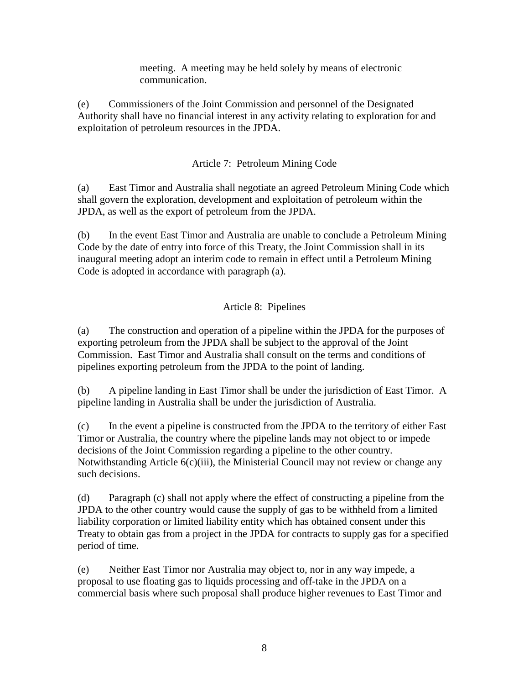meeting. A meeting may be held solely by means of electronic communication.

(e) Commissioners of the Joint Commission and personnel of the Designated Authority shall have no financial interest in any activity relating to exploration for and exploitation of petroleum resources in the JPDA.

## Article 7: Petroleum Mining Code

(a) East Timor and Australia shall negotiate an agreed Petroleum Mining Code which shall govern the exploration, development and exploitation of petroleum within the JPDA, as well as the export of petroleum from the JPDA.

(b) In the event East Timor and Australia are unable to conclude a Petroleum Mining Code by the date of entry into force of this Treaty, the Joint Commission shall in its inaugural meeting adopt an interim code to remain in effect until a Petroleum Mining Code is adopted in accordance with paragraph (a).

## Article 8: Pipelines

(a) The construction and operation of a pipeline within the JPDA for the purposes of exporting petroleum from the JPDA shall be subject to the approval of the Joint Commission. East Timor and Australia shall consult on the terms and conditions of pipelines exporting petroleum from the JPDA to the point of landing.

(b) A pipeline landing in East Timor shall be under the jurisdiction of East Timor. A pipeline landing in Australia shall be under the jurisdiction of Australia.

(c) In the event a pipeline is constructed from the JPDA to the territory of either East Timor or Australia, the country where the pipeline lands may not object to or impede decisions of the Joint Commission regarding a pipeline to the other country. Notwithstanding Article 6(c)(iii), the Ministerial Council may not review or change any such decisions.

(d) Paragraph (c) shall not apply where the effect of constructing a pipeline from the JPDA to the other country would cause the supply of gas to be withheld from a limited liability corporation or limited liability entity which has obtained consent under this Treaty to obtain gas from a project in the JPDA for contracts to supply gas for a specified period of time.

(e) Neither East Timor nor Australia may object to, nor in any way impede, a proposal to use floating gas to liquids processing and off-take in the JPDA on a commercial basis where such proposal shall produce higher revenues to East Timor and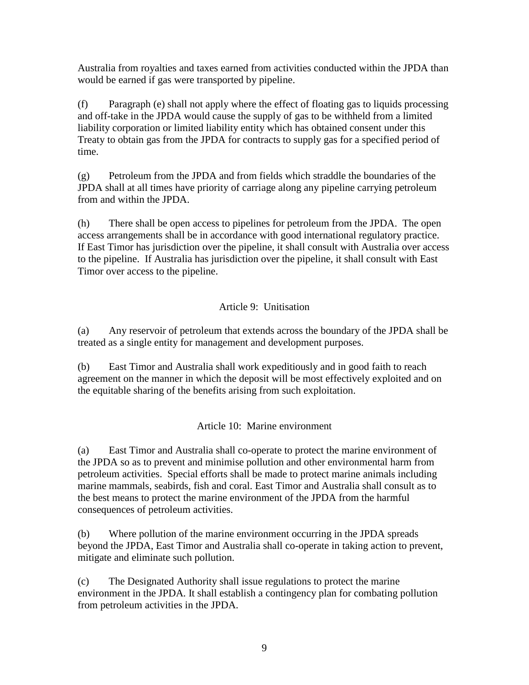Australia from royalties and taxes earned from activities conducted within the JPDA than would be earned if gas were transported by pipeline.

(f) Paragraph (e) shall not apply where the effect of floating gas to liquids processing and off-take in the JPDA would cause the supply of gas to be withheld from a limited liability corporation or limited liability entity which has obtained consent under this Treaty to obtain gas from the JPDA for contracts to supply gas for a specified period of time.

(g) Petroleum from the JPDA and from fields which straddle the boundaries of the JPDA shall at all times have priority of carriage along any pipeline carrying petroleum from and within the JPDA.

(h) There shall be open access to pipelines for petroleum from the JPDA. The open access arrangements shall be in accordance with good international regulatory practice. If East Timor has jurisdiction over the pipeline, it shall consult with Australia over access to the pipeline. If Australia has jurisdiction over the pipeline, it shall consult with East Timor over access to the pipeline.

## Article 9: Unitisation

(a) Any reservoir of petroleum that extends across the boundary of the JPDA shall be treated as a single entity for management and development purposes.

(b) East Timor and Australia shall work expeditiously and in good faith to reach agreement on the manner in which the deposit will be most effectively exploited and on the equitable sharing of the benefits arising from such exploitation.

## Article 10: Marine environment

(a) East Timor and Australia shall co-operate to protect the marine environment of the JPDA so as to prevent and minimise pollution and other environmental harm from petroleum activities. Special efforts shall be made to protect marine animals including marine mammals, seabirds, fish and coral. East Timor and Australia shall consult as to the best means to protect the marine environment of the JPDA from the harmful consequences of petroleum activities.

(b) Where pollution of the marine environment occurring in the JPDA spreads beyond the JPDA, East Timor and Australia shall co-operate in taking action to prevent, mitigate and eliminate such pollution.

(c) The Designated Authority shall issue regulations to protect the marine environment in the JPDA. It shall establish a contingency plan for combating pollution from petroleum activities in the JPDA.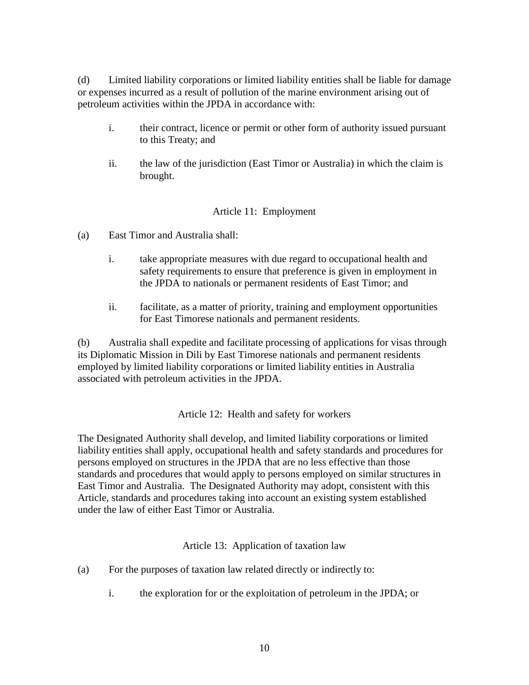(d) Limited liability corporations or limited liability entities shall be liable for damage or expenses incurred as a result of pollution of the marine environment arising out of petroleum activities within the JPDA in accordance with:

- i. their contract, licence or permit or other form of authority issued pursuant to this Treaty; and
- ii. the law of the jurisdiction (East Timor or Australia) in which the claim is brought.

## Article 11: Employment

- (a) East Timor and Australia shall:
	- i. take appropriate measures with due regard to occupational health and safety requirements to ensure that preference is given in employment in the JPDA to nationals or permanent residents of East Timor; and
	- ii. facilitate, as a matter of priority, training and employment opportunities for East Timorese nationals and permanent residents.

(b) Australia shall expedite and facilitate processing of applications for visas through its Diplomatic Mission in Dili by East Timorese nationals and permanent residents employed by limited liability corporations or limited liability entities in Australia associated with petroleum activities in the JPDA.

## Article 12: Health and safety for workers

The Designated Authority shall develop, and limited liability corporations or limited liability entities shall apply, occupational health and safety standards and procedures for persons employed on structures in the JPDA that are no less effective than those standards and procedures that would apply to persons employed on similar structures in East Timor and Australia. The Designated Authority may adopt, consistent with this Article, standards and procedures taking into account an existing system established under the law of either East Timor or Australia.

### Article 13: Application of taxation law

- (a) For the purposes of taxation law related directly or indirectly to:
	- i. the exploration for or the exploitation of petroleum in the JPDA; or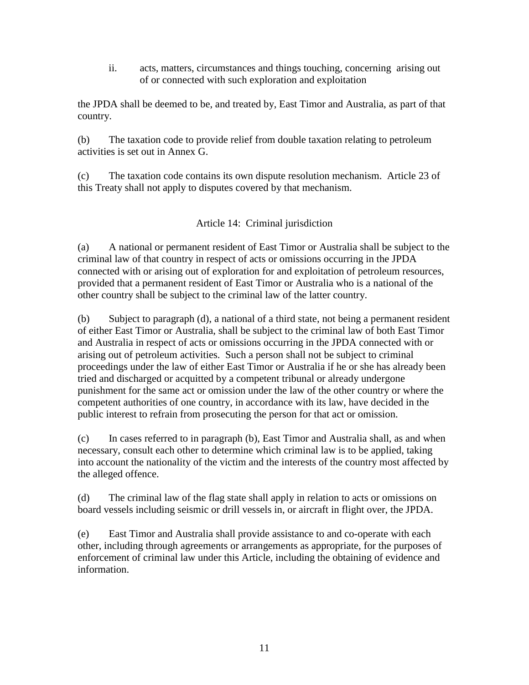ii. acts, matters, circumstances and things touching, concerning arising out of or connected with such exploration and exploitation

the JPDA shall be deemed to be, and treated by, East Timor and Australia, as part of that country.

(b) The taxation code to provide relief from double taxation relating to petroleum activities is set out in Annex G.

(c) The taxation code contains its own dispute resolution mechanism. Article 23 of this Treaty shall not apply to disputes covered by that mechanism.

## Article 14: Criminal jurisdiction

(a) A national or permanent resident of East Timor or Australia shall be subject to the criminal law of that country in respect of acts or omissions occurring in the JPDA connected with or arising out of exploration for and exploitation of petroleum resources, provided that a permanent resident of East Timor or Australia who is a national of the other country shall be subject to the criminal law of the latter country.

(b) Subject to paragraph (d), a national of a third state, not being a permanent resident of either East Timor or Australia, shall be subject to the criminal law of both East Timor and Australia in respect of acts or omissions occurring in the JPDA connected with or arising out of petroleum activities. Such a person shall not be subject to criminal proceedings under the law of either East Timor or Australia if he or she has already been tried and discharged or acquitted by a competent tribunal or already undergone punishment for the same act or omission under the law of the other country or where the competent authorities of one country, in accordance with its law, have decided in the public interest to refrain from prosecuting the person for that act or omission.

(c) In cases referred to in paragraph (b), East Timor and Australia shall, as and when necessary, consult each other to determine which criminal law is to be applied, taking into account the nationality of the victim and the interests of the country most affected by the alleged offence.

(d) The criminal law of the flag state shall apply in relation to acts or omissions on board vessels including seismic or drill vessels in, or aircraft in flight over, the JPDA.

(e) East Timor and Australia shall provide assistance to and co-operate with each other, including through agreements or arrangements as appropriate, for the purposes of enforcement of criminal law under this Article, including the obtaining of evidence and information.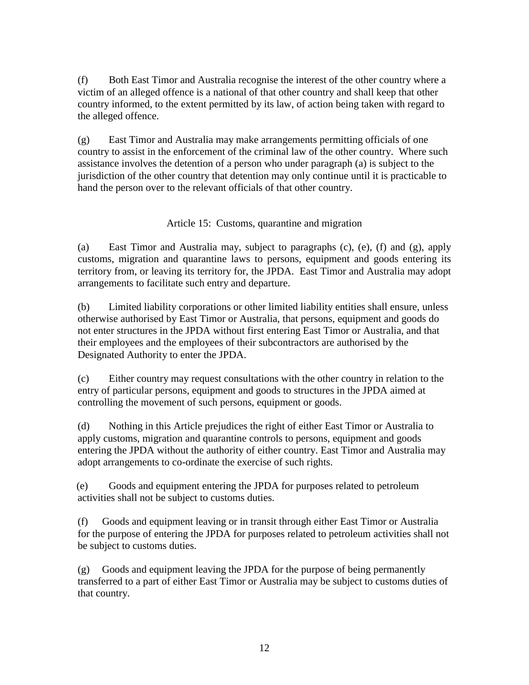(f) Both East Timor and Australia recognise the interest of the other country where a victim of an alleged offence is a national of that other country and shall keep that other country informed, to the extent permitted by its law, of action being taken with regard to the alleged offence.

(g) East Timor and Australia may make arrangements permitting officials of one country to assist in the enforcement of the criminal law of the other country. Where such assistance involves the detention of a person who under paragraph (a) is subject to the jurisdiction of the other country that detention may only continue until it is practicable to hand the person over to the relevant officials of that other country.

### Article 15: Customs, quarantine and migration

(a) East Timor and Australia may, subject to paragraphs (c), (e), (f) and (g), apply customs, migration and quarantine laws to persons, equipment and goods entering its territory from, or leaving its territory for, the JPDA. East Timor and Australia may adopt arrangements to facilitate such entry and departure.

(b) Limited liability corporations or other limited liability entities shall ensure, unless otherwise authorised by East Timor or Australia, that persons, equipment and goods do not enter structures in the JPDA without first entering East Timor or Australia, and that their employees and the employees of their subcontractors are authorised by the Designated Authority to enter the JPDA.

(c) Either country may request consultations with the other country in relation to the entry of particular persons, equipment and goods to structures in the JPDA aimed at controlling the movement of such persons, equipment or goods.

(d) Nothing in this Article prejudices the right of either East Timor or Australia to apply customs, migration and quarantine controls to persons, equipment and goods entering the JPDA without the authority of either country. East Timor and Australia may adopt arrangements to co-ordinate the exercise of such rights.

(e) Goods and equipment entering the JPDA for purposes related to petroleum activities shall not be subject to customs duties.

(f) Goods and equipment leaving or in transit through either East Timor or Australia for the purpose of entering the JPDA for purposes related to petroleum activities shall not be subject to customs duties.

(g) Goods and equipment leaving the JPDA for the purpose of being permanently transferred to a part of either East Timor or Australia may be subject to customs duties of that country.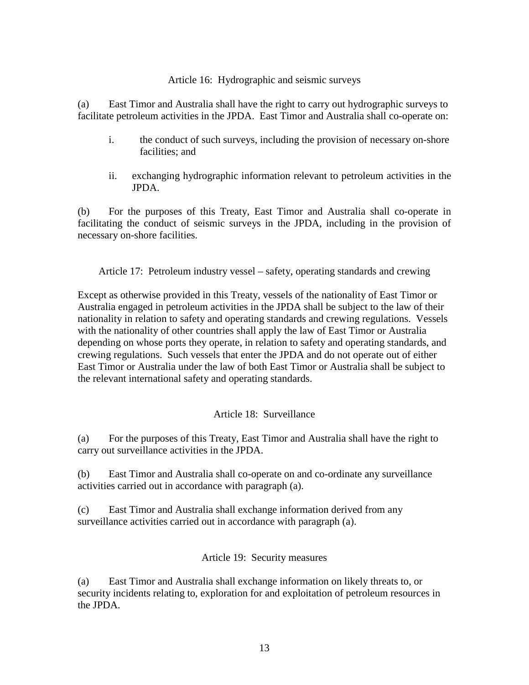#### Article 16: Hydrographic and seismic surveys

(a) East Timor and Australia shall have the right to carry out hydrographic surveys to facilitate petroleum activities in the JPDA. East Timor and Australia shall co-operate on:

- i. the conduct of such surveys, including the provision of necessary on-shore facilities; and
- ii. exchanging hydrographic information relevant to petroleum activities in the JPDA.

(b) For the purposes of this Treaty, East Timor and Australia shall co-operate in facilitating the conduct of seismic surveys in the JPDA, including in the provision of necessary on-shore facilities.

Article 17: Petroleum industry vessel – safety, operating standards and crewing

Except as otherwise provided in this Treaty, vessels of the nationality of East Timor or Australia engaged in petroleum activities in the JPDA shall be subject to the law of their nationality in relation to safety and operating standards and crewing regulations. Vessels with the nationality of other countries shall apply the law of East Timor or Australia depending on whose ports they operate, in relation to safety and operating standards, and crewing regulations. Such vessels that enter the JPDA and do not operate out of either East Timor or Australia under the law of both East Timor or Australia shall be subject to the relevant international safety and operating standards.

### Article 18: Surveillance

(a) For the purposes of this Treaty, East Timor and Australia shall have the right to carry out surveillance activities in the JPDA.

(b) East Timor and Australia shall co-operate on and co-ordinate any surveillance activities carried out in accordance with paragraph (a).

(c) East Timor and Australia shall exchange information derived from any surveillance activities carried out in accordance with paragraph (a).

#### Article 19: Security measures

(a) East Timor and Australia shall exchange information on likely threats to, or security incidents relating to, exploration for and exploitation of petroleum resources in the JPDA.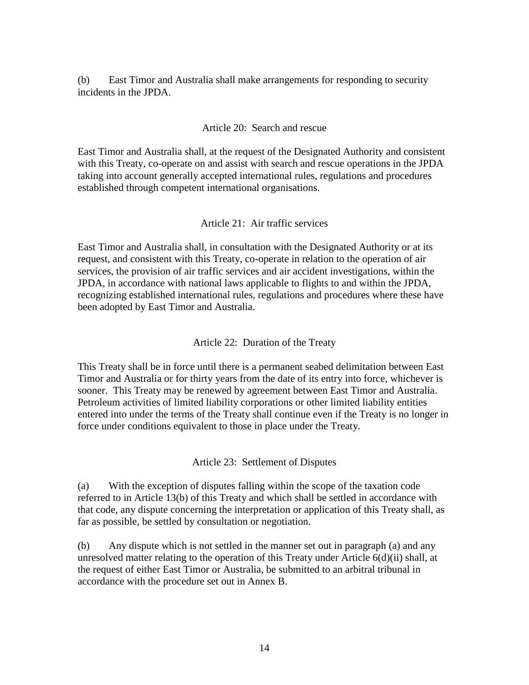(b) East Timor and Australia shall make arrangements for responding to security incidents in the JPDA.

#### Article 20: Search and rescue

East Timor and Australia shall, at the request of the Designated Authority and consistent with this Treaty, co-operate on and assist with search and rescue operations in the JPDA taking into account generally accepted international rules, regulations and procedures established through competent international organisations.

### Article 21: Air traffic services

East Timor and Australia shall, in consultation with the Designated Authority or at its request, and consistent with this Treaty, co-operate in relation to the operation of air services, the provision of air traffic services and air accident investigations, within the JPDA, in accordance with national laws applicable to flights to and within the JPDA, recognizing established international rules, regulations and procedures where these have been adopted by East Timor and Australia.

### Article 22: Duration of the Treaty

This Treaty shall be in force until there is a permanent seabed delimitation between East Timor and Australia or for thirty years from the date of its entry into force, whichever is sooner. This Treaty may be renewed by agreement between East Timor and Australia. Petroleum activities of limited liability corporations or other limited liability entities entered into under the terms of the Treaty shall continue even if the Treaty is no longer in force under conditions equivalent to those in place under the Treaty.

#### Article 23: Settlement of Disputes

(a) With the exception of disputes falling within the scope of the taxation code referred to in Article 13(b) of this Treaty and which shall be settled in accordance with that code, any dispute concerning the interpretation or application of this Treaty shall, as far as possible, be settled by consultation or negotiation.

(b) Any dispute which is not settled in the manner set out in paragraph (a) and any unresolved matter relating to the operation of this Treaty under Article 6(d)(ii) shall, at the request of either East Timor or Australia, be submitted to an arbitral tribunal in accordance with the procedure set out in Annex B.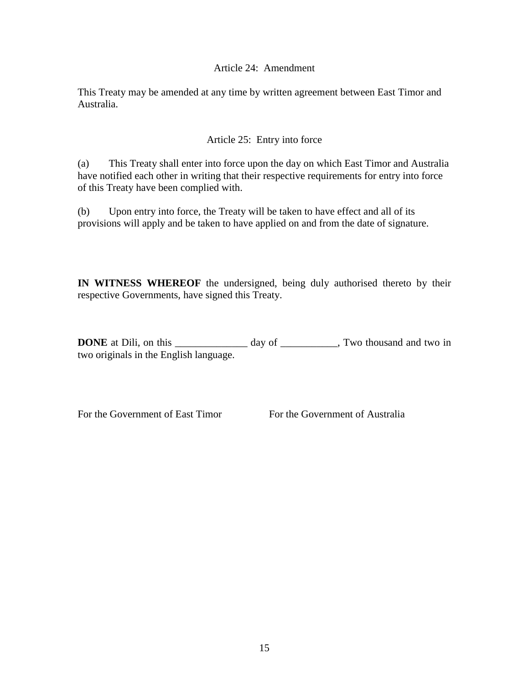#### Article 24: Amendment

This Treaty may be amended at any time by written agreement between East Timor and Australia.

### Article 25: Entry into force

(a) This Treaty shall enter into force upon the day on which East Timor and Australia have notified each other in writing that their respective requirements for entry into force of this Treaty have been complied with.

(b) Upon entry into force, the Treaty will be taken to have effect and all of its provisions will apply and be taken to have applied on and from the date of signature.

**IN WITNESS WHEREOF** the undersigned, being duly authorised thereto by their respective Governments, have signed this Treaty.

**DONE** at Dili, on this \_\_\_\_\_\_\_\_\_\_\_\_\_\_ day of \_\_\_\_\_\_\_\_\_\_\_, Two thousand and two in two originals in the English language.

For the Government of East Timor For the Government of Australia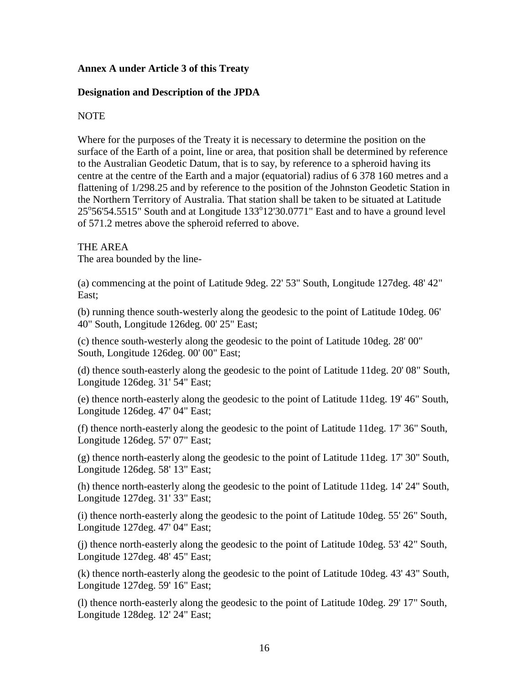#### **Annex A under Article 3 of this Treaty**

### **Designation and Description of the JPDA**

#### NOTE

Where for the purposes of the Treaty it is necessary to determine the position on the surface of the Earth of a point, line or area, that position shall be determined by reference to the Australian Geodetic Datum, that is to say, by reference to a spheroid having its centre at the centre of the Earth and a major (equatorial) radius of 6 378 160 metres and a flattening of 1/298.25 and by reference to the position of the Johnston Geodetic Station in the Northern Territory of Australia. That station shall be taken to be situated at Latitude  $25^{\circ}56'54.5515''$  South and at Longitude  $133^{\circ}12'30.0771''$  East and to have a ground level of 571.2 metres above the spheroid referred to above.

#### THE AREA

The area bounded by the line-

(a) commencing at the point of Latitude 9deg. 22' 53" South, Longitude 127deg. 48' 42" East;

(b) running thence south-westerly along the geodesic to the point of Latitude 10deg. 06' 40" South, Longitude 126deg. 00' 25" East;

(c) thence south-westerly along the geodesic to the point of Latitude 10deg. 28' 00" South, Longitude 126deg. 00' 00" East;

(d) thence south-easterly along the geodesic to the point of Latitude 11deg. 20' 08" South, Longitude 126deg. 31' 54" East;

(e) thence north-easterly along the geodesic to the point of Latitude 11deg. 19' 46" South, Longitude 126deg. 47' 04" East;

(f) thence north-easterly along the geodesic to the point of Latitude 11deg. 17' 36" South, Longitude 126deg. 57' 07" East;

(g) thence north-easterly along the geodesic to the point of Latitude 11deg. 17' 30" South, Longitude 126deg. 58' 13" East;

(h) thence north-easterly along the geodesic to the point of Latitude 11deg. 14' 24" South, Longitude 127deg. 31' 33" East;

(i) thence north-easterly along the geodesic to the point of Latitude 10deg. 55' 26" South, Longitude 127deg. 47' 04" East;

(j) thence north-easterly along the geodesic to the point of Latitude 10deg. 53' 42" South, Longitude 127deg. 48' 45" East;

(k) thence north-easterly along the geodesic to the point of Latitude 10deg. 43' 43" South, Longitude 127deg. 59' 16" East;

(l) thence north-easterly along the geodesic to the point of Latitude 10deg. 29' 17" South, Longitude 128deg. 12' 24" East;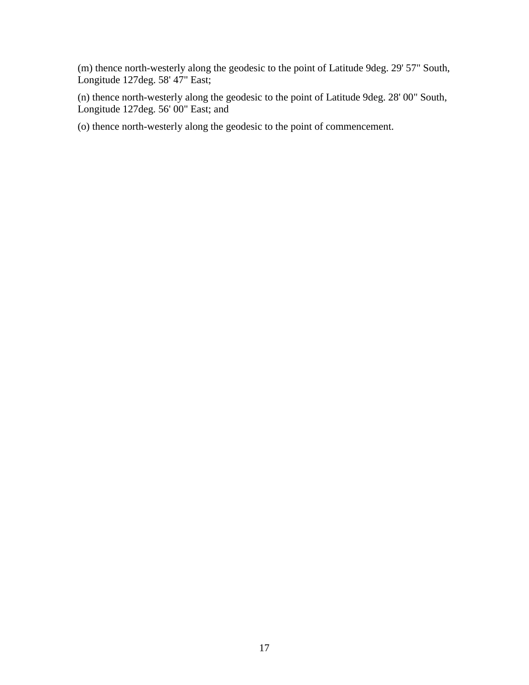(m) thence north-westerly along the geodesic to the point of Latitude 9deg. 29' 57" South, Longitude 127deg. 58' 47" East;

(n) thence north-westerly along the geodesic to the point of Latitude 9deg. 28' 00" South, Longitude 127deg. 56' 00" East; and

(o) thence north-westerly along the geodesic to the point of commencement.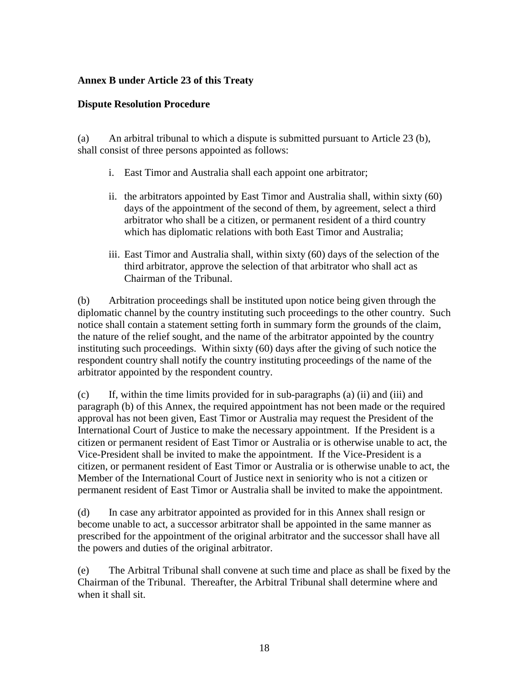### **Annex B under Article 23 of this Treaty**

#### **Dispute Resolution Procedure**

(a) An arbitral tribunal to which a dispute is submitted pursuant to Article 23 (b), shall consist of three persons appointed as follows:

- i. East Timor and Australia shall each appoint one arbitrator;
- ii. the arbitrators appointed by East Timor and Australia shall, within sixty (60) days of the appointment of the second of them, by agreement, select a third arbitrator who shall be a citizen, or permanent resident of a third country which has diplomatic relations with both East Timor and Australia;
- iii. East Timor and Australia shall, within sixty (60) days of the selection of the third arbitrator, approve the selection of that arbitrator who shall act as Chairman of the Tribunal.

(b) Arbitration proceedings shall be instituted upon notice being given through the diplomatic channel by the country instituting such proceedings to the other country. Such notice shall contain a statement setting forth in summary form the grounds of the claim, the nature of the relief sought, and the name of the arbitrator appointed by the country instituting such proceedings. Within sixty (60) days after the giving of such notice the respondent country shall notify the country instituting proceedings of the name of the arbitrator appointed by the respondent country.

(c) If, within the time limits provided for in sub-paragraphs (a) (ii) and (iii) and paragraph (b) of this Annex, the required appointment has not been made or the required approval has not been given, East Timor or Australia may request the President of the International Court of Justice to make the necessary appointment. If the President is a citizen or permanent resident of East Timor or Australia or is otherwise unable to act, the Vice-President shall be invited to make the appointment. If the Vice-President is a citizen, or permanent resident of East Timor or Australia or is otherwise unable to act, the Member of the International Court of Justice next in seniority who is not a citizen or permanent resident of East Timor or Australia shall be invited to make the appointment.

(d) In case any arbitrator appointed as provided for in this Annex shall resign or become unable to act, a successor arbitrator shall be appointed in the same manner as prescribed for the appointment of the original arbitrator and the successor shall have all the powers and duties of the original arbitrator.

(e) The Arbitral Tribunal shall convene at such time and place as shall be fixed by the Chairman of the Tribunal. Thereafter, the Arbitral Tribunal shall determine where and when it shall sit.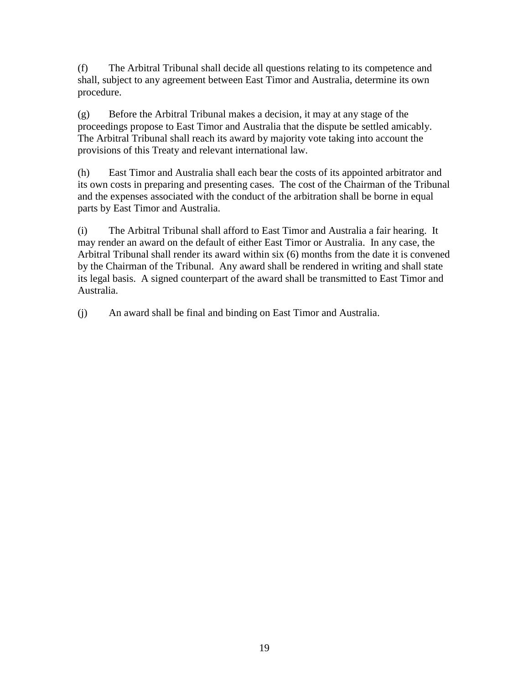(f) The Arbitral Tribunal shall decide all questions relating to its competence and shall, subject to any agreement between East Timor and Australia, determine its own procedure.

(g) Before the Arbitral Tribunal makes a decision, it may at any stage of the proceedings propose to East Timor and Australia that the dispute be settled amicably. The Arbitral Tribunal shall reach its award by majority vote taking into account the provisions of this Treaty and relevant international law.

(h) East Timor and Australia shall each bear the costs of its appointed arbitrator and its own costs in preparing and presenting cases. The cost of the Chairman of the Tribunal and the expenses associated with the conduct of the arbitration shall be borne in equal parts by East Timor and Australia.

(i) The Arbitral Tribunal shall afford to East Timor and Australia a fair hearing. It may render an award on the default of either East Timor or Australia. In any case, the Arbitral Tribunal shall render its award within six (6) months from the date it is convened by the Chairman of the Tribunal. Any award shall be rendered in writing and shall state its legal basis. A signed counterpart of the award shall be transmitted to East Timor and Australia.

(j) An award shall be final and binding on East Timor and Australia.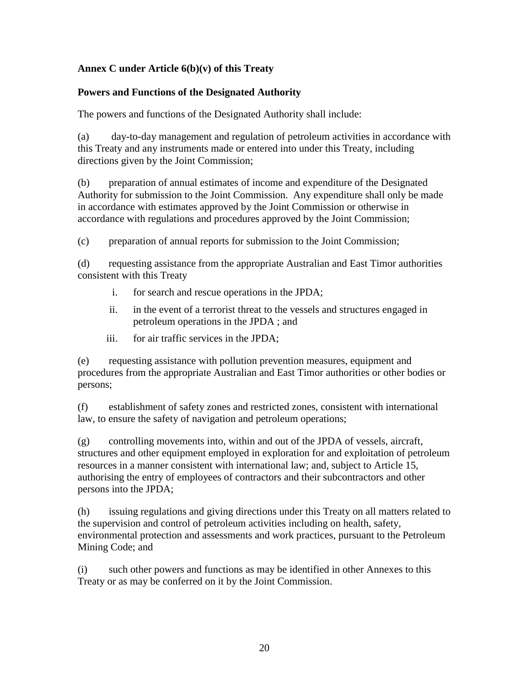### **Annex C under Article 6(b)(v) of this Treaty**

### **Powers and Functions of the Designated Authority**

The powers and functions of the Designated Authority shall include:

(a) day-to-day management and regulation of petroleum activities in accordance with this Treaty and any instruments made or entered into under this Treaty, including directions given by the Joint Commission;

(b) preparation of annual estimates of income and expenditure of the Designated Authority for submission to the Joint Commission. Any expenditure shall only be made in accordance with estimates approved by the Joint Commission or otherwise in accordance with regulations and procedures approved by the Joint Commission;

(c) preparation of annual reports for submission to the Joint Commission;

(d) requesting assistance from the appropriate Australian and East Timor authorities consistent with this Treaty

- i. for search and rescue operations in the JPDA;
- ii. in the event of a terrorist threat to the vessels and structures engaged in petroleum operations in the JPDA ; and
- iii. for air traffic services in the JPDA;

(e) requesting assistance with pollution prevention measures, equipment and procedures from the appropriate Australian and East Timor authorities or other bodies or persons;

(f) establishment of safety zones and restricted zones, consistent with international law, to ensure the safety of navigation and petroleum operations;

(g) controlling movements into, within and out of the JPDA of vessels, aircraft, structures and other equipment employed in exploration for and exploitation of petroleum resources in a manner consistent with international law; and, subject to Article 15, authorising the entry of employees of contractors and their subcontractors and other persons into the JPDA;

(h) issuing regulations and giving directions under this Treaty on all matters related to the supervision and control of petroleum activities including on health, safety, environmental protection and assessments and work practices, pursuant to the Petroleum Mining Code; and

(i) such other powers and functions as may be identified in other Annexes to this Treaty or as may be conferred on it by the Joint Commission.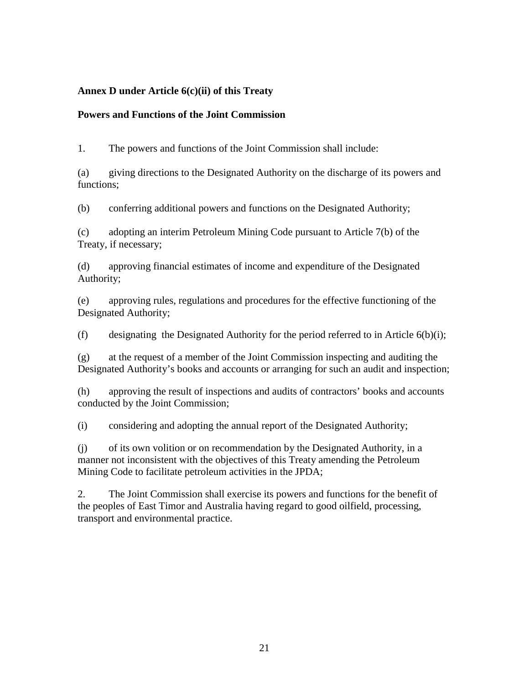### **Annex D under Article 6(c)(ii) of this Treaty**

#### **Powers and Functions of the Joint Commission**

1. The powers and functions of the Joint Commission shall include:

(a) giving directions to the Designated Authority on the discharge of its powers and functions;

(b) conferring additional powers and functions on the Designated Authority;

(c) adopting an interim Petroleum Mining Code pursuant to Article 7(b) of the Treaty, if necessary;

(d) approving financial estimates of income and expenditure of the Designated Authority;

(e) approving rules, regulations and procedures for the effective functioning of the Designated Authority;

(f) designating the Designated Authority for the period referred to in Article  $6(b)(i)$ ;

(g) at the request of a member of the Joint Commission inspecting and auditing the Designated Authority's books and accounts or arranging for such an audit and inspection;

(h) approving the result of inspections and audits of contractors' books and accounts conducted by the Joint Commission;

(i) considering and adopting the annual report of the Designated Authority;

(j) of its own volition or on recommendation by the Designated Authority, in a manner not inconsistent with the objectives of this Treaty amending the Petroleum Mining Code to facilitate petroleum activities in the JPDA;

2. The Joint Commission shall exercise its powers and functions for the benefit of the peoples of East Timor and Australia having regard to good oilfield, processing, transport and environmental practice.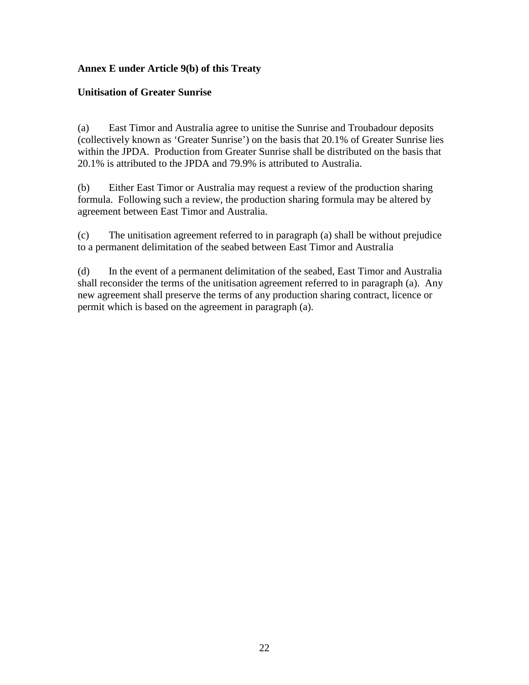### **Annex E under Article 9(b) of this Treaty**

### **Unitisation of Greater Sunrise**

(a) East Timor and Australia agree to unitise the Sunrise and Troubadour deposits (collectively known as 'Greater Sunrise') on the basis that 20.1% of Greater Sunrise lies within the JPDA. Production from Greater Sunrise shall be distributed on the basis that 20.1% is attributed to the JPDA and 79.9% is attributed to Australia.

(b) Either East Timor or Australia may request a review of the production sharing formula. Following such a review, the production sharing formula may be altered by agreement between East Timor and Australia.

(c) The unitisation agreement referred to in paragraph (a) shall be without prejudice to a permanent delimitation of the seabed between East Timor and Australia

(d) In the event of a permanent delimitation of the seabed, East Timor and Australia shall reconsider the terms of the unitisation agreement referred to in paragraph (a). Any new agreement shall preserve the terms of any production sharing contract, licence or permit which is based on the agreement in paragraph (a).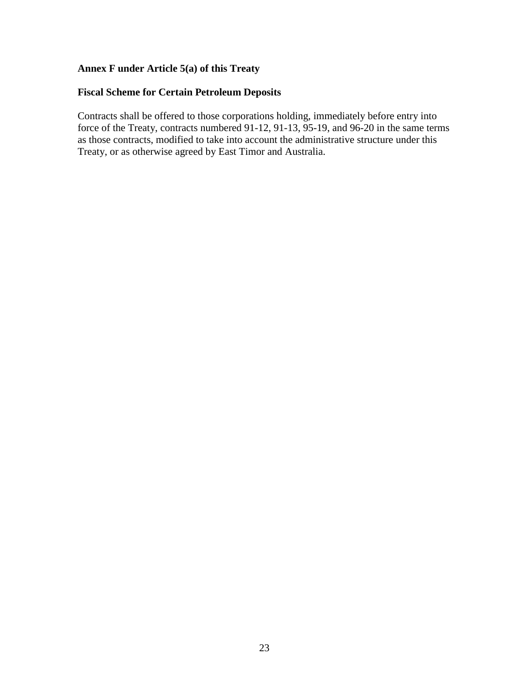## **Annex F under Article 5(a) of this Treaty**

## **Fiscal Scheme for Certain Petroleum Deposits**

Contracts shall be offered to those corporations holding, immediately before entry into force of the Treaty, contracts numbered 91-12, 91-13, 95-19, and 96-20 in the same terms as those contracts, modified to take into account the administrative structure under this Treaty, or as otherwise agreed by East Timor and Australia.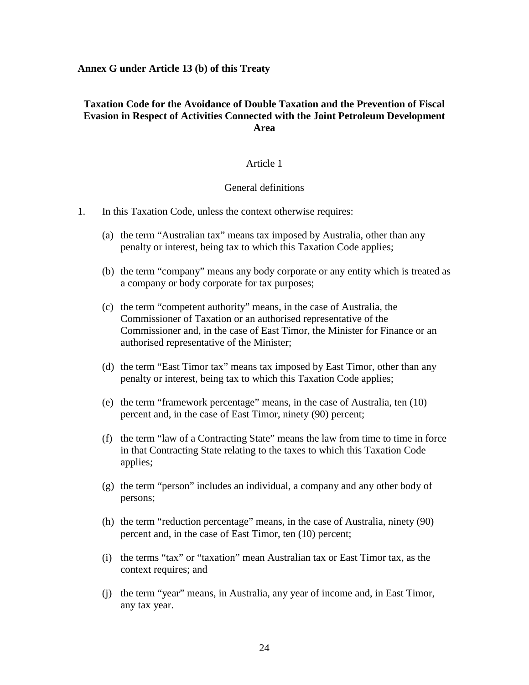**Annex G under Article 13 (b) of this Treaty** 

### **Taxation Code for the Avoidance of Double Taxation and the Prevention of Fiscal Evasion in Respect of Activities Connected with the Joint Petroleum Development Area**

#### Article 1

#### General definitions

- 1. In this Taxation Code, unless the context otherwise requires:
	- (a) the term "Australian tax" means tax imposed by Australia, other than any penalty or interest, being tax to which this Taxation Code applies;
	- (b) the term "company" means any body corporate or any entity which is treated as a company or body corporate for tax purposes;
	- (c) the term "competent authority" means, in the case of Australia, the Commissioner of Taxation or an authorised representative of the Commissioner and, in the case of East Timor, the Minister for Finance or an authorised representative of the Minister;
	- (d) the term "East Timor tax" means tax imposed by East Timor, other than any penalty or interest, being tax to which this Taxation Code applies;
	- (e) the term "framework percentage" means, in the case of Australia, ten (10) percent and, in the case of East Timor, ninety (90) percent;
	- (f) the term "law of a Contracting State" means the law from time to time in force in that Contracting State relating to the taxes to which this Taxation Code applies;
	- (g) the term "person" includes an individual, a company and any other body of persons;
	- (h) the term "reduction percentage" means, in the case of Australia, ninety (90) percent and, in the case of East Timor, ten (10) percent;
	- (i) the terms "tax" or "taxation" mean Australian tax or East Timor tax, as the context requires; and
	- (j) the term "year" means, in Australia, any year of income and, in East Timor, any tax year.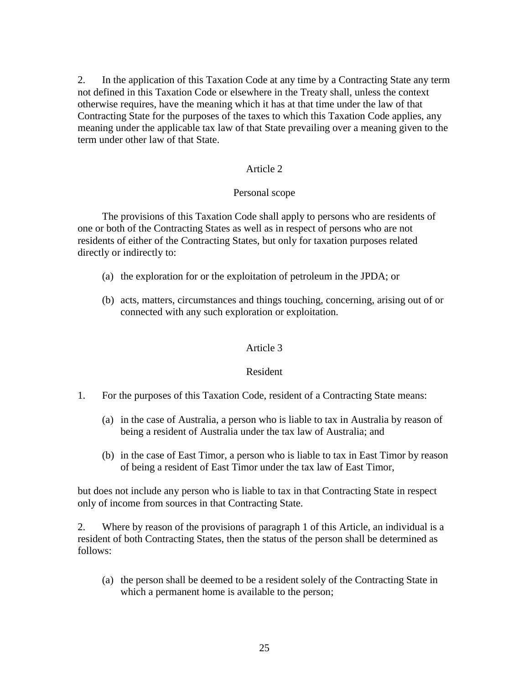2. In the application of this Taxation Code at any time by a Contracting State any term not defined in this Taxation Code or elsewhere in the Treaty shall, unless the context otherwise requires, have the meaning which it has at that time under the law of that Contracting State for the purposes of the taxes to which this Taxation Code applies, any meaning under the applicable tax law of that State prevailing over a meaning given to the term under other law of that State.

#### Article 2

#### Personal scope

 The provisions of this Taxation Code shall apply to persons who are residents of one or both of the Contracting States as well as in respect of persons who are not residents of either of the Contracting States, but only for taxation purposes related directly or indirectly to:

- (a) the exploration for or the exploitation of petroleum in the JPDA; or
- (b) acts, matters, circumstances and things touching, concerning, arising out of or connected with any such exploration or exploitation.

#### Article 3

#### Resident

- 1. For the purposes of this Taxation Code, resident of a Contracting State means:
	- (a) in the case of Australia, a person who is liable to tax in Australia by reason of being a resident of Australia under the tax law of Australia; and
	- (b) in the case of East Timor, a person who is liable to tax in East Timor by reason of being a resident of East Timor under the tax law of East Timor,

but does not include any person who is liable to tax in that Contracting State in respect only of income from sources in that Contracting State.

2. Where by reason of the provisions of paragraph 1 of this Article, an individual is a resident of both Contracting States, then the status of the person shall be determined as follows:

(a) the person shall be deemed to be a resident solely of the Contracting State in which a permanent home is available to the person;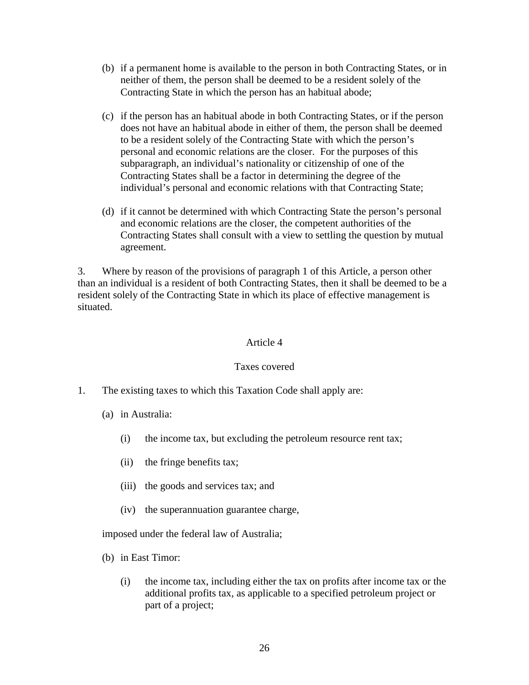- (b) if a permanent home is available to the person in both Contracting States, or in neither of them, the person shall be deemed to be a resident solely of the Contracting State in which the person has an habitual abode;
- (c) if the person has an habitual abode in both Contracting States, or if the person does not have an habitual abode in either of them, the person shall be deemed to be a resident solely of the Contracting State with which the person's personal and economic relations are the closer. For the purposes of this subparagraph, an individual's nationality or citizenship of one of the Contracting States shall be a factor in determining the degree of the individual's personal and economic relations with that Contracting State;
- (d) if it cannot be determined with which Contracting State the person's personal and economic relations are the closer, the competent authorities of the Contracting States shall consult with a view to settling the question by mutual agreement.

3. Where by reason of the provisions of paragraph 1 of this Article, a person other than an individual is a resident of both Contracting States, then it shall be deemed to be a resident solely of the Contracting State in which its place of effective management is situated.

#### Article 4

#### Taxes covered

- 1. The existing taxes to which this Taxation Code shall apply are:
	- (a) in Australia:
		- (i) the income tax, but excluding the petroleum resource rent tax;
		- (ii) the fringe benefits tax;
		- (iii) the goods and services tax; and
		- (iv) the superannuation guarantee charge,

imposed under the federal law of Australia;

- (b) in East Timor:
	- (i) the income tax, including either the tax on profits after income tax or the additional profits tax, as applicable to a specified petroleum project or part of a project;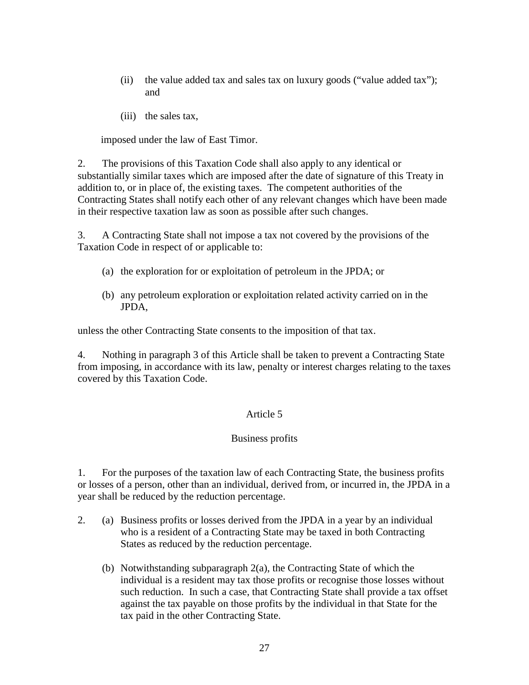- (ii) the value added tax and sales tax on luxury goods ("value added tax"); and
- (iii) the sales tax,

imposed under the law of East Timor.

2. The provisions of this Taxation Code shall also apply to any identical or substantially similar taxes which are imposed after the date of signature of this Treaty in addition to, or in place of, the existing taxes. The competent authorities of the Contracting States shall notify each other of any relevant changes which have been made in their respective taxation law as soon as possible after such changes.

3. A Contracting State shall not impose a tax not covered by the provisions of the Taxation Code in respect of or applicable to:

- (a) the exploration for or exploitation of petroleum in the JPDA; or
- (b) any petroleum exploration or exploitation related activity carried on in the JPDA,

unless the other Contracting State consents to the imposition of that tax.

4. Nothing in paragraph 3 of this Article shall be taken to prevent a Contracting State from imposing, in accordance with its law, penalty or interest charges relating to the taxes covered by this Taxation Code.

### Article 5

#### Business profits

1. For the purposes of the taxation law of each Contracting State, the business profits or losses of a person, other than an individual, derived from, or incurred in, the JPDA in a year shall be reduced by the reduction percentage.

- 2. (a) Business profits or losses derived from the JPDA in a year by an individual who is a resident of a Contracting State may be taxed in both Contracting States as reduced by the reduction percentage.
	- (b) Notwithstanding subparagraph 2(a), the Contracting State of which the individual is a resident may tax those profits or recognise those losses without such reduction. In such a case, that Contracting State shall provide a tax offset against the tax payable on those profits by the individual in that State for the tax paid in the other Contracting State.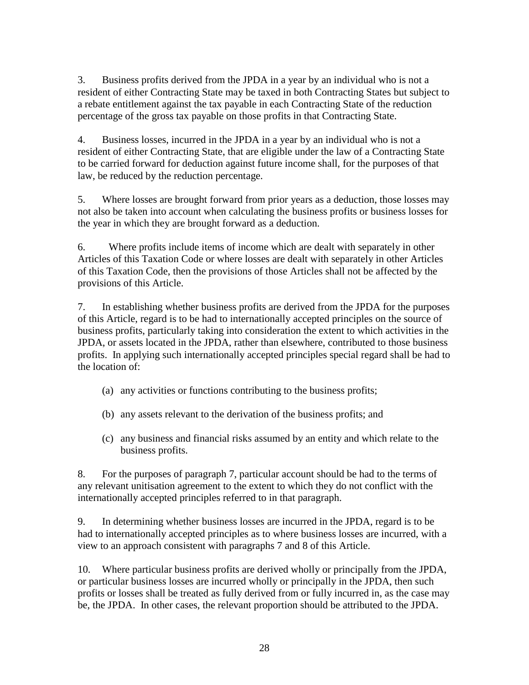3. Business profits derived from the JPDA in a year by an individual who is not a resident of either Contracting State may be taxed in both Contracting States but subject to a rebate entitlement against the tax payable in each Contracting State of the reduction percentage of the gross tax payable on those profits in that Contracting State.

4. Business losses, incurred in the JPDA in a year by an individual who is not a resident of either Contracting State, that are eligible under the law of a Contracting State to be carried forward for deduction against future income shall, for the purposes of that law, be reduced by the reduction percentage.

5. Where losses are brought forward from prior years as a deduction, those losses may not also be taken into account when calculating the business profits or business losses for the year in which they are brought forward as a deduction.

6. Where profits include items of income which are dealt with separately in other Articles of this Taxation Code or where losses are dealt with separately in other Articles of this Taxation Code, then the provisions of those Articles shall not be affected by the provisions of this Article.

7. In establishing whether business profits are derived from the JPDA for the purposes of this Article, regard is to be had to internationally accepted principles on the source of business profits, particularly taking into consideration the extent to which activities in the JPDA, or assets located in the JPDA, rather than elsewhere, contributed to those business profits. In applying such internationally accepted principles special regard shall be had to the location of:

- (a) any activities or functions contributing to the business profits;
- (b) any assets relevant to the derivation of the business profits; and
- (c) any business and financial risks assumed by an entity and which relate to the business profits.

8. For the purposes of paragraph 7, particular account should be had to the terms of any relevant unitisation agreement to the extent to which they do not conflict with the internationally accepted principles referred to in that paragraph.

9. In determining whether business losses are incurred in the JPDA, regard is to be had to internationally accepted principles as to where business losses are incurred, with a view to an approach consistent with paragraphs 7 and 8 of this Article.

10. Where particular business profits are derived wholly or principally from the JPDA, or particular business losses are incurred wholly or principally in the JPDA, then such profits or losses shall be treated as fully derived from or fully incurred in, as the case may be, the JPDA. In other cases, the relevant proportion should be attributed to the JPDA.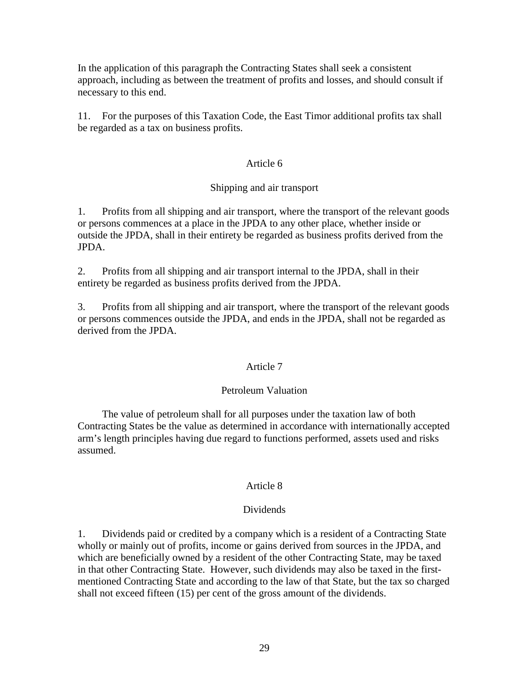In the application of this paragraph the Contracting States shall seek a consistent approach, including as between the treatment of profits and losses, and should consult if necessary to this end.

11. For the purposes of this Taxation Code, the East Timor additional profits tax shall be regarded as a tax on business profits.

## Article 6

## Shipping and air transport

1. Profits from all shipping and air transport, where the transport of the relevant goods or persons commences at a place in the JPDA to any other place, whether inside or outside the JPDA, shall in their entirety be regarded as business profits derived from the JPDA.

2. Profits from all shipping and air transport internal to the JPDA, shall in their entirety be regarded as business profits derived from the JPDA.

3. Profits from all shipping and air transport, where the transport of the relevant goods or persons commences outside the JPDA, and ends in the JPDA, shall not be regarded as derived from the JPDA.

### Article 7

### Petroleum Valuation

 The value of petroleum shall for all purposes under the taxation law of both Contracting States be the value as determined in accordance with internationally accepted arm's length principles having due regard to functions performed, assets used and risks assumed.

### Article 8

### Dividends

1. Dividends paid or credited by a company which is a resident of a Contracting State wholly or mainly out of profits, income or gains derived from sources in the JPDA, and which are beneficially owned by a resident of the other Contracting State, may be taxed in that other Contracting State. However, such dividends may also be taxed in the firstmentioned Contracting State and according to the law of that State, but the tax so charged shall not exceed fifteen (15) per cent of the gross amount of the dividends.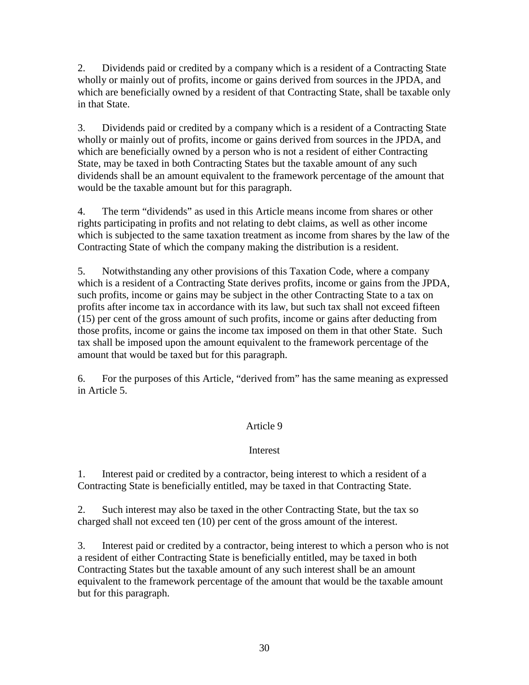2. Dividends paid or credited by a company which is a resident of a Contracting State wholly or mainly out of profits, income or gains derived from sources in the JPDA, and which are beneficially owned by a resident of that Contracting State, shall be taxable only in that State.

3. Dividends paid or credited by a company which is a resident of a Contracting State wholly or mainly out of profits, income or gains derived from sources in the JPDA, and which are beneficially owned by a person who is not a resident of either Contracting State, may be taxed in both Contracting States but the taxable amount of any such dividends shall be an amount equivalent to the framework percentage of the amount that would be the taxable amount but for this paragraph.

4. The term "dividends" as used in this Article means income from shares or other rights participating in profits and not relating to debt claims, as well as other income which is subjected to the same taxation treatment as income from shares by the law of the Contracting State of which the company making the distribution is a resident.

5. Notwithstanding any other provisions of this Taxation Code, where a company which is a resident of a Contracting State derives profits, income or gains from the JPDA, such profits, income or gains may be subject in the other Contracting State to a tax on profits after income tax in accordance with its law, but such tax shall not exceed fifteen (15) per cent of the gross amount of such profits, income or gains after deducting from those profits, income or gains the income tax imposed on them in that other State. Such tax shall be imposed upon the amount equivalent to the framework percentage of the amount that would be taxed but for this paragraph.

6. For the purposes of this Article, "derived from" has the same meaning as expressed in Article 5.

### Article 9

### Interest

1. Interest paid or credited by a contractor, being interest to which a resident of a Contracting State is beneficially entitled, may be taxed in that Contracting State.

2. Such interest may also be taxed in the other Contracting State, but the tax so charged shall not exceed ten (10) per cent of the gross amount of the interest.

3. Interest paid or credited by a contractor, being interest to which a person who is not a resident of either Contracting State is beneficially entitled, may be taxed in both Contracting States but the taxable amount of any such interest shall be an amount equivalent to the framework percentage of the amount that would be the taxable amount but for this paragraph.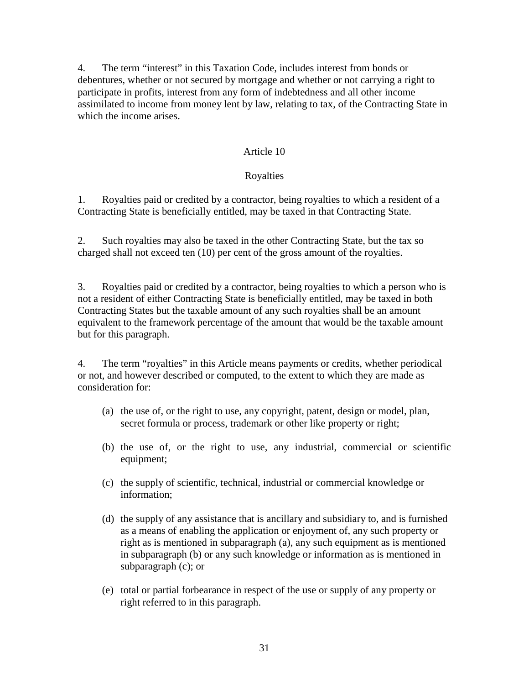4. The term "interest" in this Taxation Code, includes interest from bonds or debentures, whether or not secured by mortgage and whether or not carrying a right to participate in profits, interest from any form of indebtedness and all other income assimilated to income from money lent by law, relating to tax, of the Contracting State in which the income arises.

## Article 10

## Royalties

1. Royalties paid or credited by a contractor, being royalties to which a resident of a Contracting State is beneficially entitled, may be taxed in that Contracting State.

2. Such royalties may also be taxed in the other Contracting State, but the tax so charged shall not exceed ten (10) per cent of the gross amount of the royalties.

3. Royalties paid or credited by a contractor, being royalties to which a person who is not a resident of either Contracting State is beneficially entitled, may be taxed in both Contracting States but the taxable amount of any such royalties shall be an amount equivalent to the framework percentage of the amount that would be the taxable amount but for this paragraph.

4. The term "royalties" in this Article means payments or credits, whether periodical or not, and however described or computed, to the extent to which they are made as consideration for:

- (a) the use of, or the right to use, any copyright, patent, design or model, plan, secret formula or process, trademark or other like property or right;
- (b) the use of, or the right to use, any industrial, commercial or scientific equipment;
- (c) the supply of scientific, technical, industrial or commercial knowledge or information;
- (d) the supply of any assistance that is ancillary and subsidiary to, and is furnished as a means of enabling the application or enjoyment of, any such property or right as is mentioned in subparagraph (a), any such equipment as is mentioned in subparagraph (b) or any such knowledge or information as is mentioned in subparagraph (c); or
- (e) total or partial forbearance in respect of the use or supply of any property or right referred to in this paragraph.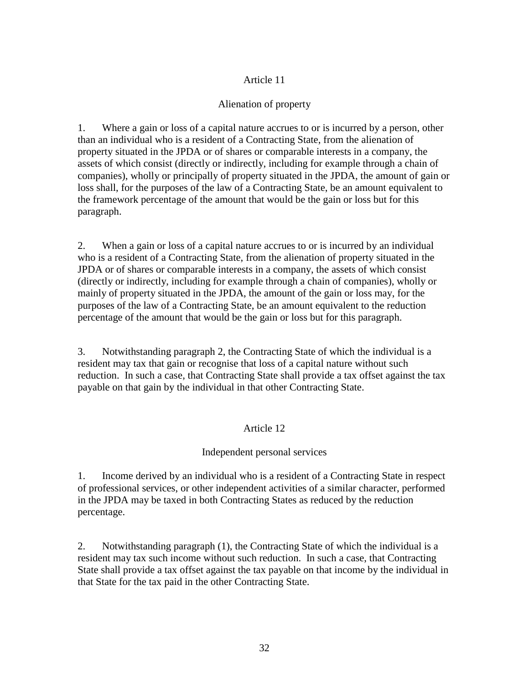## Article 11

### Alienation of property

1. Where a gain or loss of a capital nature accrues to or is incurred by a person, other than an individual who is a resident of a Contracting State, from the alienation of property situated in the JPDA or of shares or comparable interests in a company, the assets of which consist (directly or indirectly, including for example through a chain of companies), wholly or principally of property situated in the JPDA, the amount of gain or loss shall, for the purposes of the law of a Contracting State, be an amount equivalent to the framework percentage of the amount that would be the gain or loss but for this paragraph.

2. When a gain or loss of a capital nature accrues to or is incurred by an individual who is a resident of a Contracting State, from the alienation of property situated in the JPDA or of shares or comparable interests in a company, the assets of which consist (directly or indirectly, including for example through a chain of companies), wholly or mainly of property situated in the JPDA, the amount of the gain or loss may, for the purposes of the law of a Contracting State, be an amount equivalent to the reduction percentage of the amount that would be the gain or loss but for this paragraph.

3. Notwithstanding paragraph 2, the Contracting State of which the individual is a resident may tax that gain or recognise that loss of a capital nature without such reduction. In such a case, that Contracting State shall provide a tax offset against the tax payable on that gain by the individual in that other Contracting State.

### Article 12

### Independent personal services

1. Income derived by an individual who is a resident of a Contracting State in respect of professional services, or other independent activities of a similar character, performed in the JPDA may be taxed in both Contracting States as reduced by the reduction percentage.

2. Notwithstanding paragraph (1), the Contracting State of which the individual is a resident may tax such income without such reduction. In such a case, that Contracting State shall provide a tax offset against the tax payable on that income by the individual in that State for the tax paid in the other Contracting State.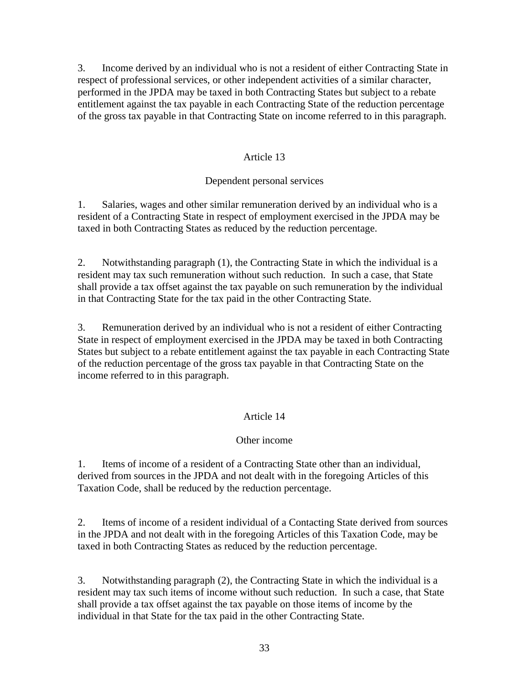3. Income derived by an individual who is not a resident of either Contracting State in respect of professional services, or other independent activities of a similar character, performed in the JPDA may be taxed in both Contracting States but subject to a rebate entitlement against the tax payable in each Contracting State of the reduction percentage of the gross tax payable in that Contracting State on income referred to in this paragraph.

### Article 13

## Dependent personal services

1. Salaries, wages and other similar remuneration derived by an individual who is a resident of a Contracting State in respect of employment exercised in the JPDA may be taxed in both Contracting States as reduced by the reduction percentage.

2. Notwithstanding paragraph (1), the Contracting State in which the individual is a resident may tax such remuneration without such reduction. In such a case, that State shall provide a tax offset against the tax payable on such remuneration by the individual in that Contracting State for the tax paid in the other Contracting State.

3. Remuneration derived by an individual who is not a resident of either Contracting State in respect of employment exercised in the JPDA may be taxed in both Contracting States but subject to a rebate entitlement against the tax payable in each Contracting State of the reduction percentage of the gross tax payable in that Contracting State on the income referred to in this paragraph.

### Article 14

### Other income

1. Items of income of a resident of a Contracting State other than an individual, derived from sources in the JPDA and not dealt with in the foregoing Articles of this Taxation Code, shall be reduced by the reduction percentage.

2. Items of income of a resident individual of a Contacting State derived from sources in the JPDA and not dealt with in the foregoing Articles of this Taxation Code, may be taxed in both Contracting States as reduced by the reduction percentage.

3. Notwithstanding paragraph (2), the Contracting State in which the individual is a resident may tax such items of income without such reduction. In such a case, that State shall provide a tax offset against the tax payable on those items of income by the individual in that State for the tax paid in the other Contracting State.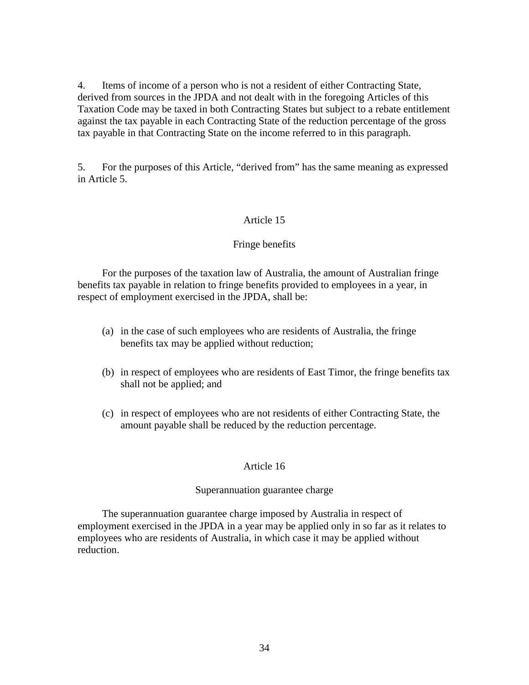4. Items of income of a person who is not a resident of either Contracting State, derived from sources in the JPDA and not dealt with in the foregoing Articles of this Taxation Code may be taxed in both Contracting States but subject to a rebate entitlement against the tax payable in each Contracting State of the reduction percentage of the gross tax payable in that Contracting State on the income referred to in this paragraph.

5. For the purposes of this Article, "derived from" has the same meaning as expressed in Article 5.

### Article 15

### Fringe benefits

 For the purposes of the taxation law of Australia, the amount of Australian fringe benefits tax payable in relation to fringe benefits provided to employees in a year, in respect of employment exercised in the JPDA, shall be:

- (a) in the case of such employees who are residents of Australia, the fringe benefits tax may be applied without reduction;
- (b) in respect of employees who are residents of East Timor, the fringe benefits tax shall not be applied; and
- (c) in respect of employees who are not residents of either Contracting State, the amount payable shall be reduced by the reduction percentage.

#### Article 16

#### Superannuation guarantee charge

 The superannuation guarantee charge imposed by Australia in respect of employment exercised in the JPDA in a year may be applied only in so far as it relates to employees who are residents of Australia, in which case it may be applied without reduction.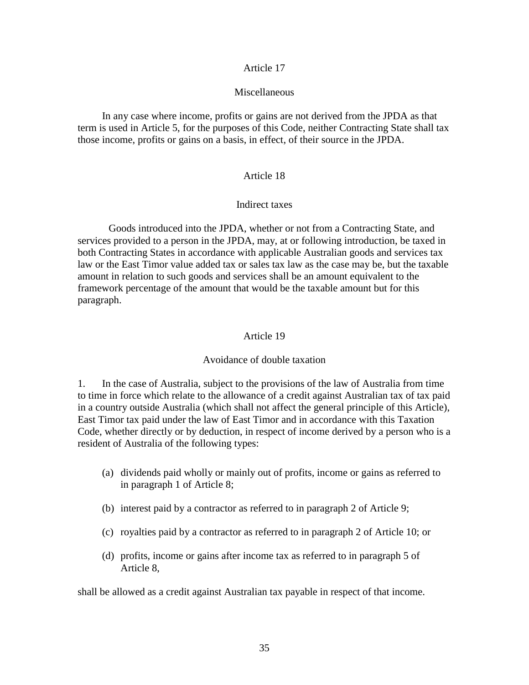#### Article 17

#### **Miscellaneous**

 In any case where income, profits or gains are not derived from the JPDA as that term is used in Article 5, for the purposes of this Code, neither Contracting State shall tax those income, profits or gains on a basis, in effect, of their source in the JPDA.

#### Article 18

#### Indirect taxes

 Goods introduced into the JPDA, whether or not from a Contracting State, and services provided to a person in the JPDA, may, at or following introduction, be taxed in both Contracting States in accordance with applicable Australian goods and services tax law or the East Timor value added tax or sales tax law as the case may be, but the taxable amount in relation to such goods and services shall be an amount equivalent to the framework percentage of the amount that would be the taxable amount but for this paragraph.

#### Article 19

#### Avoidance of double taxation

1. In the case of Australia, subject to the provisions of the law of Australia from time to time in force which relate to the allowance of a credit against Australian tax of tax paid in a country outside Australia (which shall not affect the general principle of this Article), East Timor tax paid under the law of East Timor and in accordance with this Taxation Code, whether directly or by deduction, in respect of income derived by a person who is a resident of Australia of the following types:

- (a) dividends paid wholly or mainly out of profits, income or gains as referred to in paragraph 1 of Article 8;
- (b) interest paid by a contractor as referred to in paragraph 2 of Article 9;
- (c) royalties paid by a contractor as referred to in paragraph 2 of Article 10; or
- (d) profits, income or gains after income tax as referred to in paragraph 5 of Article 8,

shall be allowed as a credit against Australian tax payable in respect of that income.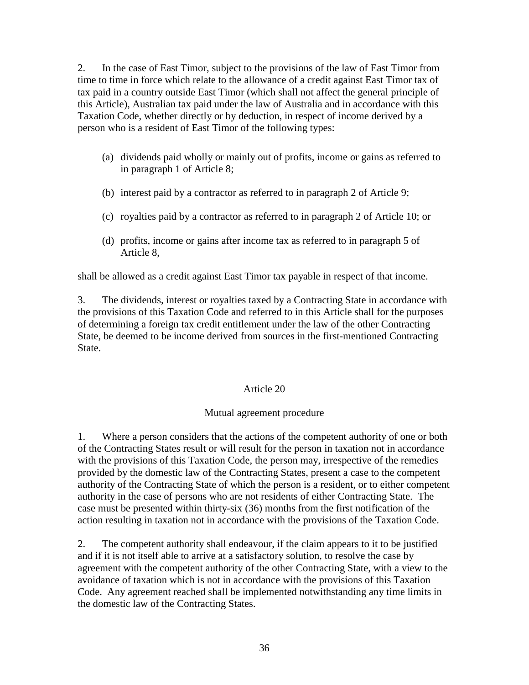2. In the case of East Timor, subject to the provisions of the law of East Timor from time to time in force which relate to the allowance of a credit against East Timor tax of tax paid in a country outside East Timor (which shall not affect the general principle of this Article), Australian tax paid under the law of Australia and in accordance with this Taxation Code, whether directly or by deduction, in respect of income derived by a person who is a resident of East Timor of the following types:

- (a) dividends paid wholly or mainly out of profits, income or gains as referred to in paragraph 1 of Article 8;
- (b) interest paid by a contractor as referred to in paragraph 2 of Article 9;
- (c) royalties paid by a contractor as referred to in paragraph 2 of Article 10; or
- (d) profits, income or gains after income tax as referred to in paragraph 5 of Article 8,

shall be allowed as a credit against East Timor tax payable in respect of that income.

3. The dividends, interest or royalties taxed by a Contracting State in accordance with the provisions of this Taxation Code and referred to in this Article shall for the purposes of determining a foreign tax credit entitlement under the law of the other Contracting State, be deemed to be income derived from sources in the first-mentioned Contracting State.

### Article 20

### Mutual agreement procedure

1. Where a person considers that the actions of the competent authority of one or both of the Contracting States result or will result for the person in taxation not in accordance with the provisions of this Taxation Code, the person may, irrespective of the remedies provided by the domestic law of the Contracting States, present a case to the competent authority of the Contracting State of which the person is a resident, or to either competent authority in the case of persons who are not residents of either Contracting State. The case must be presented within thirty-six (36) months from the first notification of the action resulting in taxation not in accordance with the provisions of the Taxation Code.

2. The competent authority shall endeavour, if the claim appears to it to be justified and if it is not itself able to arrive at a satisfactory solution, to resolve the case by agreement with the competent authority of the other Contracting State, with a view to the avoidance of taxation which is not in accordance with the provisions of this Taxation Code. Any agreement reached shall be implemented notwithstanding any time limits in the domestic law of the Contracting States.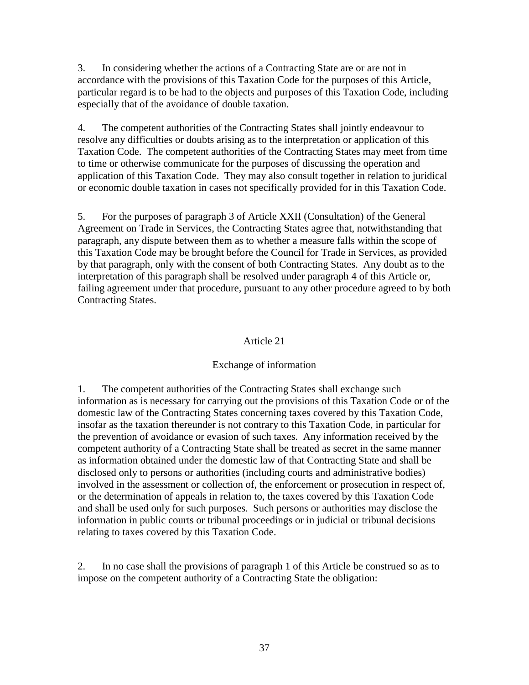3. In considering whether the actions of a Contracting State are or are not in accordance with the provisions of this Taxation Code for the purposes of this Article, particular regard is to be had to the objects and purposes of this Taxation Code, including especially that of the avoidance of double taxation.

4. The competent authorities of the Contracting States shall jointly endeavour to resolve any difficulties or doubts arising as to the interpretation or application of this Taxation Code. The competent authorities of the Contracting States may meet from time to time or otherwise communicate for the purposes of discussing the operation and application of this Taxation Code. They may also consult together in relation to juridical or economic double taxation in cases not specifically provided for in this Taxation Code.

5. For the purposes of paragraph 3 of Article XXII (Consultation) of the General Agreement on Trade in Services, the Contracting States agree that, notwithstanding that paragraph, any dispute between them as to whether a measure falls within the scope of this Taxation Code may be brought before the Council for Trade in Services, as provided by that paragraph, only with the consent of both Contracting States. Any doubt as to the interpretation of this paragraph shall be resolved under paragraph 4 of this Article or, failing agreement under that procedure, pursuant to any other procedure agreed to by both Contracting States.

### Article 21

#### Exchange of information

1. The competent authorities of the Contracting States shall exchange such information as is necessary for carrying out the provisions of this Taxation Code or of the domestic law of the Contracting States concerning taxes covered by this Taxation Code, insofar as the taxation thereunder is not contrary to this Taxation Code, in particular for the prevention of avoidance or evasion of such taxes. Any information received by the competent authority of a Contracting State shall be treated as secret in the same manner as information obtained under the domestic law of that Contracting State and shall be disclosed only to persons or authorities (including courts and administrative bodies) involved in the assessment or collection of, the enforcement or prosecution in respect of, or the determination of appeals in relation to, the taxes covered by this Taxation Code and shall be used only for such purposes. Such persons or authorities may disclose the information in public courts or tribunal proceedings or in judicial or tribunal decisions relating to taxes covered by this Taxation Code.

2. In no case shall the provisions of paragraph 1 of this Article be construed so as to impose on the competent authority of a Contracting State the obligation: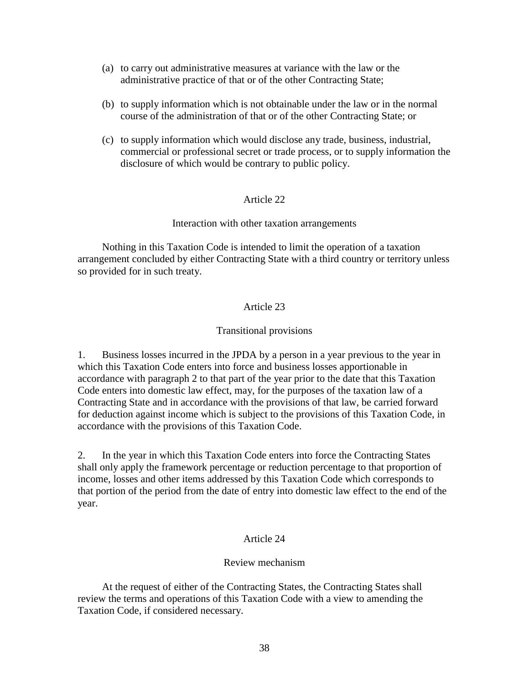- (a) to carry out administrative measures at variance with the law or the administrative practice of that or of the other Contracting State;
- (b) to supply information which is not obtainable under the law or in the normal course of the administration of that or of the other Contracting State; or
- (c) to supply information which would disclose any trade, business, industrial, commercial or professional secret or trade process, or to supply information the disclosure of which would be contrary to public policy.

#### Article 22

#### Interaction with other taxation arrangements

 Nothing in this Taxation Code is intended to limit the operation of a taxation arrangement concluded by either Contracting State with a third country or territory unless so provided for in such treaty.

### Article 23

#### Transitional provisions

1. Business losses incurred in the JPDA by a person in a year previous to the year in which this Taxation Code enters into force and business losses apportionable in accordance with paragraph 2 to that part of the year prior to the date that this Taxation Code enters into domestic law effect, may, for the purposes of the taxation law of a Contracting State and in accordance with the provisions of that law, be carried forward for deduction against income which is subject to the provisions of this Taxation Code, in accordance with the provisions of this Taxation Code.

2. In the year in which this Taxation Code enters into force the Contracting States shall only apply the framework percentage or reduction percentage to that proportion of income, losses and other items addressed by this Taxation Code which corresponds to that portion of the period from the date of entry into domestic law effect to the end of the year.

### Article 24

#### Review mechanism

 At the request of either of the Contracting States, the Contracting States shall review the terms and operations of this Taxation Code with a view to amending the Taxation Code, if considered necessary.